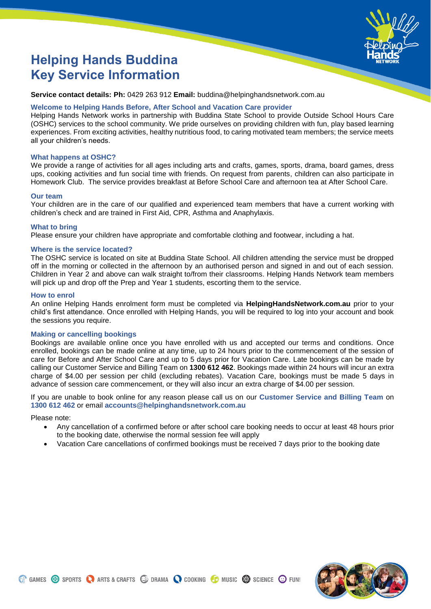

# **Helping Hands Buddina Key Service Information**

**Service contact details: Ph:** 0429 263 912 **Email:** buddina@helpinghandsnetwork.com.au

# **Welcome to Helping Hands Before, After School and Vacation Care provider**

Helping Hands Network works in partnership with Buddina State School to provide Outside School Hours Care (OSHC) services to the school community. We pride ourselves on providing children with fun, play based learning experiences. From exciting activities, healthy nutritious food, to caring motivated team members; the service meets all your children's needs.

# **What happens at OSHC?**

We provide a range of activities for all ages including arts and crafts, games, sports, drama, board games, dress ups, cooking activities and fun social time with friends. On request from parents, children can also participate in Homework Club. The service provides breakfast at Before School Care and afternoon tea at After School Care.

# **Our team**

Your children are in the care of our qualified and experienced team members that have a current working with children's check and are trained in First Aid, CPR, Asthma and Anaphylaxis.

# **What to bring**

Please ensure your children have appropriate and comfortable clothing and footwear, including a hat.

# **Where is the service located?**

The OSHC service is located on site at Buddina State School. All children attending the service must be dropped off in the morning or collected in the afternoon by an authorised person and signed in and out of each session. Children in Year 2 and above can walk straight to/from their classrooms. Helping Hands Network team members will pick up and drop off the Prep and Year 1 students, escorting them to the service.

## **How to enrol**

An online Helping Hands enrolment form must be completed via **HelpingHandsNetwork.com.au** prior to your child's first attendance. Once enrolled with Helping Hands, you will be required to log into your account and book the sessions you require.

# **Making or cancelling bookings**

Bookings are available online once you have enrolled with us and accepted our terms and conditions. Once enrolled, bookings can be made online at any time, up to 24 hours prior to the commencement of the session of care for Before and After School Care and up to 5 days prior for Vacation Care. Late bookings can be made by calling our Customer Service and Billing Team on **1300 612 462**. Bookings made within 24 hours will incur an extra charge of \$4.00 per session per child (excluding rebates). Vacation Care, bookings must be made 5 days in advance of session care commencement, or they will also incur an extra charge of \$4.00 per session.

If you are unable to book online for any reason please call us on our **Customer Service and Billing Team** on **1300 612 462** or email **accounts@helpinghandsnetwork.com.au** 

Please note:

- Any cancellation of a confirmed before or after school care booking needs to occur at least 48 hours prior to the booking date, otherwise the normal session fee will apply
- Vacation Care cancellations of confirmed bookings must be received 7 days prior to the booking date